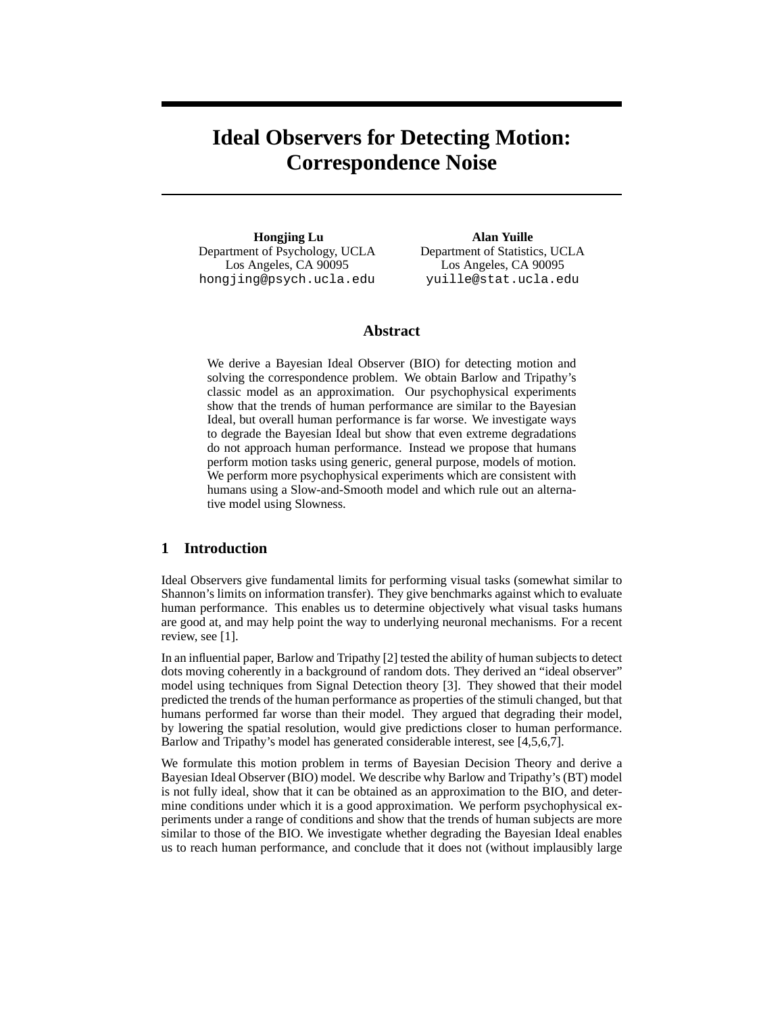# **Ideal Observers for Detecting Motion: Correspondence Noise**

**Hongjing Lu** Department of Psychology, UCLA Los Angeles, CA 90095 hongjing@psych.ucla.edu

**Alan Yuille** Department of Statistics, UCLA Los Angeles, CA 90095 yuille@stat.ucla.edu

#### **Abstract**

We derive a Bayesian Ideal Observer (BIO) for detecting motion and solving the correspondence problem. We obtain Barlow and Tripathy's classic model as an approximation. Our psychophysical experiments show that the trends of human performance are similar to the Bayesian Ideal, but overall human performance is far worse. We investigate ways to degrade the Bayesian Ideal but show that even extreme degradations do not approach human performance. Instead we propose that humans perform motion tasks using generic, general purpose, models of motion. We perform more psychophysical experiments which are consistent with humans using a Slow-and-Smooth model and which rule out an alternative model using Slowness.

# **1 Introduction**

Ideal Observers give fundamental limits for performing visual tasks (somewhat similar to Shannon's limits on information transfer). They give benchmarks against which to evaluate human performance. This enables us to determine objectively what visual tasks humans are good at, and may help point the way to underlying neuronal mechanisms. For a recent review, see [1].

In an influential paper, Barlow and Tripathy [2] tested the ability of human subjects to detect dots moving coherently in a background of random dots. They derived an "ideal observer" model using techniques from Signal Detection theory [3]. They showed that their model predicted the trends of the human performance as properties of the stimuli changed, but that humans performed far worse than their model. They argued that degrading their model, by lowering the spatial resolution, would give predictions closer to human performance. Barlow and Tripathy's model has generated considerable interest, see [4,5,6,7].

We formulate this motion problem in terms of Bayesian Decision Theory and derive a Bayesian Ideal Observer (BIO) model. We describe why Barlow and Tripathy's (BT) model is not fully ideal, show that it can be obtained as an approximation to the BIO, and determine conditions under which it is a good approximation. We perform psychophysical experiments under a range of conditions and show that the trends of human subjects are more similar to those of the BIO. We investigate whether degrading the Bayesian Ideal enables us to reach human performance, and conclude that it does not (without implausibly large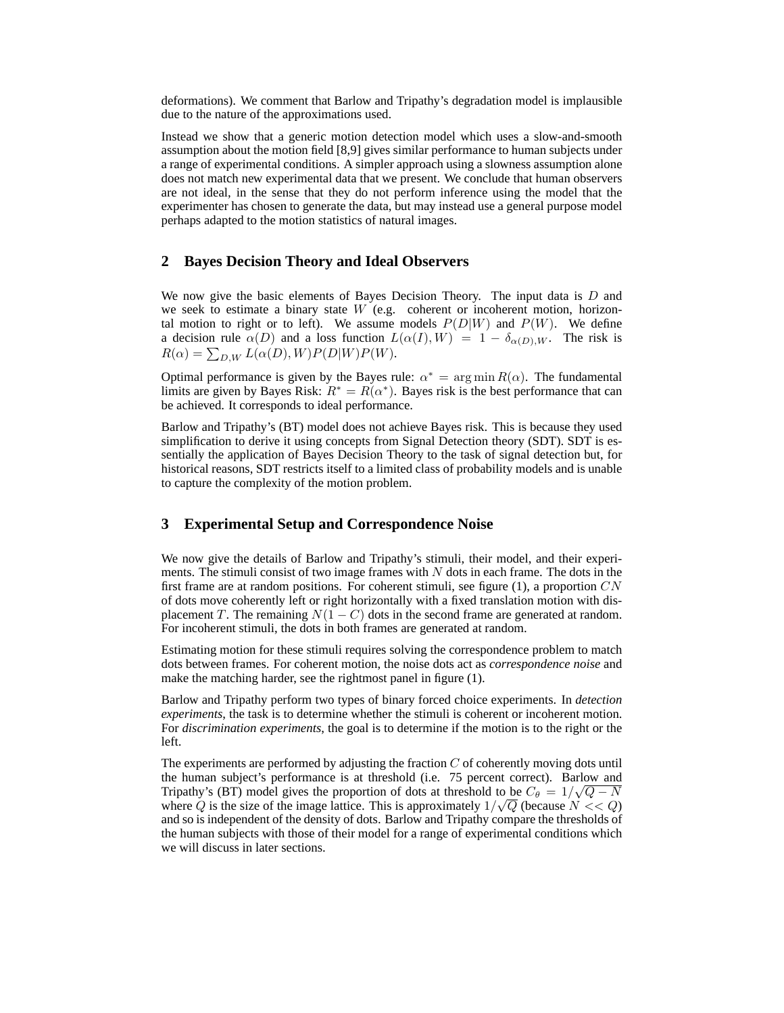deformations). We comment that Barlow and Tripathy's degradation model is implausible due to the nature of the approximations used.

Instead we show that a generic motion detection model which uses a slow-and-smooth assumption about the motion field [8,9] gives similar performance to human subjects under a range of experimental conditions. A simpler approach using a slowness assumption alone does not match new experimental data that we present. We conclude that human observers are not ideal, in the sense that they do not perform inference using the model that the experimenter has chosen to generate the data, but may instead use a general purpose model perhaps adapted to the motion statistics of natural images.

## **2 Bayes Decision Theory and Ideal Observers**

We now give the basic elements of Bayes Decision Theory. The input data is  $D$  and we seek to estimate a binary state  $W$  (e.g. coherent or incoherent motion, horizontal motion to right or to left). We assume models  $P(D|W)$  and  $P(W)$ . We define a decision rule  $\alpha(D)$  and a loss function  $L(\alpha(I), W) = 1 - \delta_{\alpha(D), W}$ . The risk is  $R(\alpha) = \sum_{D,W} L(\alpha(D), W) P(D|W) P(W).$ 

Optimal performance is given by the Bayes rule:  $\alpha^* = \arg \min R(\alpha)$ . The fundamental limits are given by Bayes Risk:  $R^* = R(\alpha^*)$ . Bayes risk is the best performance that can be achieved. It corresponds to ideal performance.

Barlow and Tripathy's (BT) model does not achieve Bayes risk. This is because they used simplification to derive it using concepts from Signal Detection theory (SDT). SDT is essentially the application of Bayes Decision Theory to the task of signal detection but, for historical reasons, SDT restricts itself to a limited class of probability models and is unable to capture the complexity of the motion problem.

#### **3 Experimental Setup and Correspondence Noise**

We now give the details of Barlow and Tripathy's stimuli, their model, and their experiments. The stimuli consist of two image frames with  $N$  dots in each frame. The dots in the first frame are at random positions. For coherent stimuli, see figure (1), a proportion  $CN$ of dots move coherently left or right horizontally with a fixed translation motion with displacement T. The remaining  $N(1 - C)$  dots in the second frame are generated at random. For incoherent stimuli, the dots in both frames are generated at random.

Estimating motion for these stimuli requires solving the correspondence problem to match dots between frames. For coherent motion, the noise dots act as *correspondence noise* and make the matching harder, see the rightmost panel in figure (1).

Barlow and Tripathy perform two types of binary forced choice experiments. In *detection experiments*, the task is to determine whether the stimuli is coherent or incoherent motion. For *discrimination experiments*, the goal is to determine if the motion is to the right or the left.

The experiments are performed by adjusting the fraction  $C$  of coherently moving dots until the human subject's performance is at threshold (i.e. 75 percent correct). Barlow and Tripathy's (BT) model gives the proportion of dots at threshold to be  $C_{\theta} = 1/\sqrt{Q - N}$ where Q is the size of the image lattice. This is approximately  $1/\sqrt{Q}$  (because  $N < Q$ ) and so is independent of the density of dots. Barlow and Tripathy compare the thresholds of the human subjects with those of their model for a range of experimental conditions which we will discuss in later sections.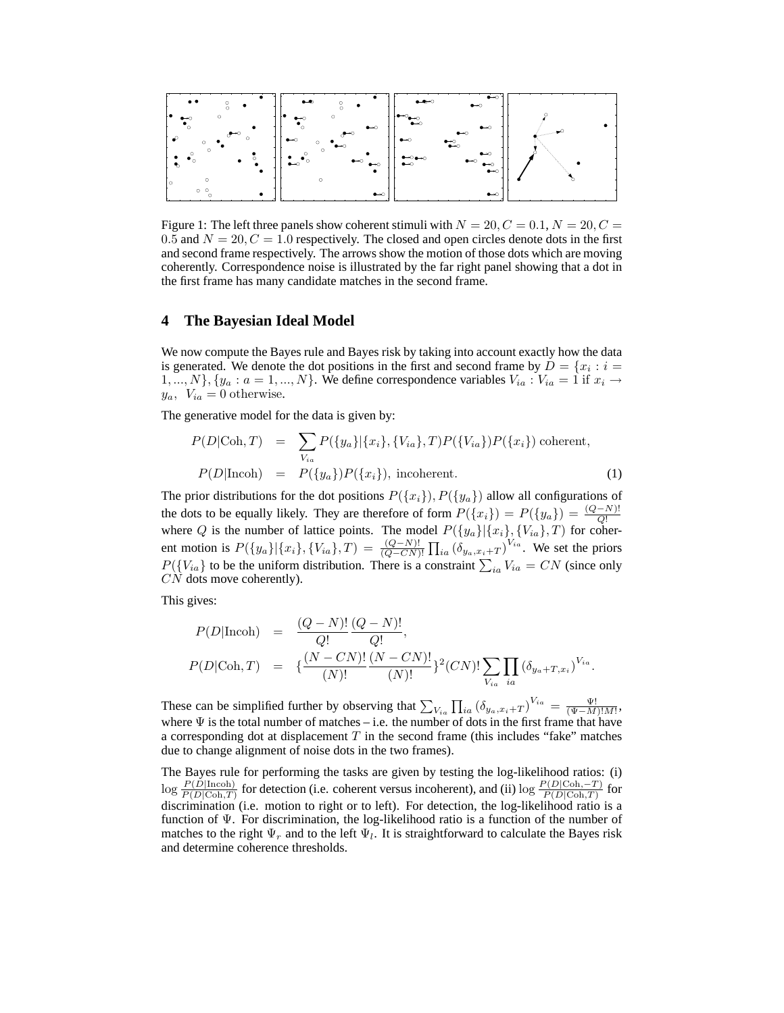

Figure 1: The left three panels show coherent stimuli with  $N = 20, C = 0.1, N = 20, C =$ 0.5 and  $N = 20, C = 1.0$  respectively. The closed and open circles denote dots in the first and second frame respectively. The arrows show the motion of those dots which are moving coherently. Correspondence noise is illustrated by the far right panel showing that a dot in the first frame has many candidate matches in the second frame.

#### **4 The Bayesian Ideal Model**

We now compute the Bayes rule and Bayes risk by taking into account exactly how the data is generated. We denote the dot positions in the first and second frame by  $D = \{x_i : i = \}$  $1,...,N$ ,  $\{y_a : a = 1,...,N\}$ . We define correspondence variables  $V_{ia} : V_{ia} = 1$  if  $x_i \rightarrow$  $y_a$ ,  $V_{ia} = 0$  otherwise.

The generative model for the data is given by:

$$
P(D|\text{Coh}, T) = \sum_{V_{ia}} P(\lbrace y_a \rbrace | \lbrace x_i \rbrace, \lbrace V_{ia} \rbrace, T) P(\lbrace V_{ia} \rbrace) P(\lbrace x_i \rbrace) \text{ coherent},
$$
  
\n
$$
P(D|\text{Incoh}) = P(\lbrace y_a \rbrace) P(\lbrace x_i \rbrace), \text{incoherent}.
$$
 (1)

The prior distributions for the dot positions  $P({x_i})$ ,  $P({y_a})$  allow all configurations of the dots to be equally likely. They are therefore of form  $P({x_i}) = P({y_a}) = \frac{(Q-N)!}{Q!}$ <br>where Q is the number of lattice points. The model  $P({y_a}]{x_i}_{\cdot}$ ,  ${V_{ia}}, T$  for coherent motion is  $P({y_a}|\{x_i\}, \{V_{ia}\}, T) = \frac{(Q-N)!}{(Q-CN)!} \prod_{ia} (\delta_{y_a, x_i+T})^{V_{ia}}$ . We set the priors  $P({V_{ia}})$  to be the uniform distribution. There is a constraint  $\sum_{ia} V_{ia} = CN$  (since only CN dots move coherently).

This gives:

$$
P(D|\text{Incoh}) = \frac{(Q-N)!}{Q!} \frac{(Q-N)!}{Q!},
$$
  
\n
$$
P(D|\text{Coh}, T) = \left\{ \frac{(N-CN)!}{(N)!} \frac{(N-CN)!}{(N)!} \right\}^{2} (CN)! \sum_{V_{ia}} \prod_{ia} \left( \delta_{y_a+T, x_i} \right)^{V_{ia}}.
$$

These can be simplified further by observing that  $\sum_{V_{ia}} \prod_{ia} (\delta_{y_a,x_i+T})^{V_{ia}} = \frac{\Psi!}{(\Psi - M)!M!}$ where  $\Psi$  is the total number of matches – i.e. the number of dots in the first frame that have a corresponding dot at displacement  $T$  in the second frame (this includes "fake" matches due to change alignment of noise dots in the two frames).

The Bayes rule for performing the tasks are given by testing the log-likelihood ratios: (i)  $\log \frac{P(D|\text{Coh},T)}{P(D|\text{Coh},T)}$  for detection (i.e. coherent versus incoherent), and (ii)  $\log \frac{P(D|\text{Coh},T)}{P(D|\text{Coh},T)}$  for discrimination (i.e. motion to right or to left). For detection, the log-likelihood ratio is a function of  $\Psi$ . For discrimination, the log-likelihood ratio is a function of the number of matches to the right  $\Psi_r$  and to the left  $\Psi_l$ . It is straightforward to calculate the Bayes risk and determine coherence thresholds.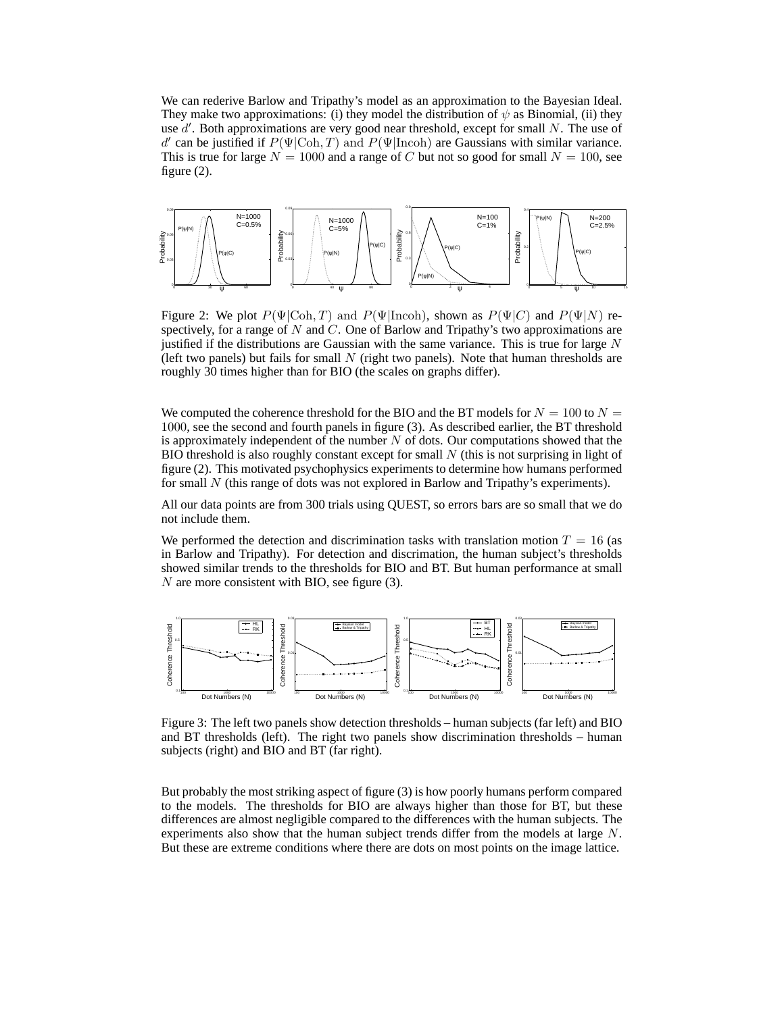We can rederive Barlow and Tripathy's model as an approximation to the Bayesian Ideal. They make two approximations: (i) they model the distribution of  $\psi$  as Binomial, (ii) they use  $d'$ . Both approximations are very good near threshold, except for small  $N$ . The use of d' can be justified if  $P(\Psi | \text{Coh}, T)$  and  $P(\Psi | \text{Incoh})$  are Gaussians with similar variance. This is true for large  $N = 1000$  and a range of C but not so good for small  $N = 100$ , see figure (2).



Figure 2: We plot  $P(\Psi | \text{Coh}, T)$  and  $P(\Psi | \text{Incoh})$ , shown as  $P(\Psi | C)$  and  $P(\Psi | N)$  respectively, for a range of  $N$  and  $C$ . One of Barlow and Tripathy's two approximations are justified if the distributions are Gaussian with the same variance. This is true for large  $N$ (left two panels) but fails for small  $N$  (right two panels). Note that human thresholds are roughly 30 times higher than for BIO (the scales on graphs differ).

We computed the coherence threshold for the BIO and the BT models for  $N = 100$  to  $N =$ 1000, see the second and fourth panels in figure (3). As described earlier, the BT threshold is approximately independent of the number  $N$  of dots. Our computations showed that the BIO threshold is also roughly constant except for small  $N$  (this is not surprising in light of figure (2). This motivated psychophysics experiments to determine how humans performed for small N (this range of dots was not explored in Barlow and Tripathy's experiments).

All our data points are from 300 trials using QUEST, so errors bars are so small that we do not include them.

We performed the detection and discrimination tasks with translation motion  $T = 16$  (as in Barlow and Tripathy). For detection and discrimation, the human subject's thresholds showed similar trends to the thresholds for BIO and BT. But human performance at small  $N$  are more consistent with BIO, see figure (3).



Figure 3: The left two panels show detection thresholds – human subjects (far left) and BIO and BT thresholds (left). The right two panels show discrimination thresholds – human subjects (right) and BIO and BT (far right).

But probably the most striking aspect of figure (3) is how poorly humans perform compared to the models. The thresholds for BIO are always higher than those for BT, but these differences are almost negligible compared to the differences with the human subjects. The experiments also show that the human subject trends differ from the models at large N. But these are extreme conditions where there are dots on most points on the image lattice.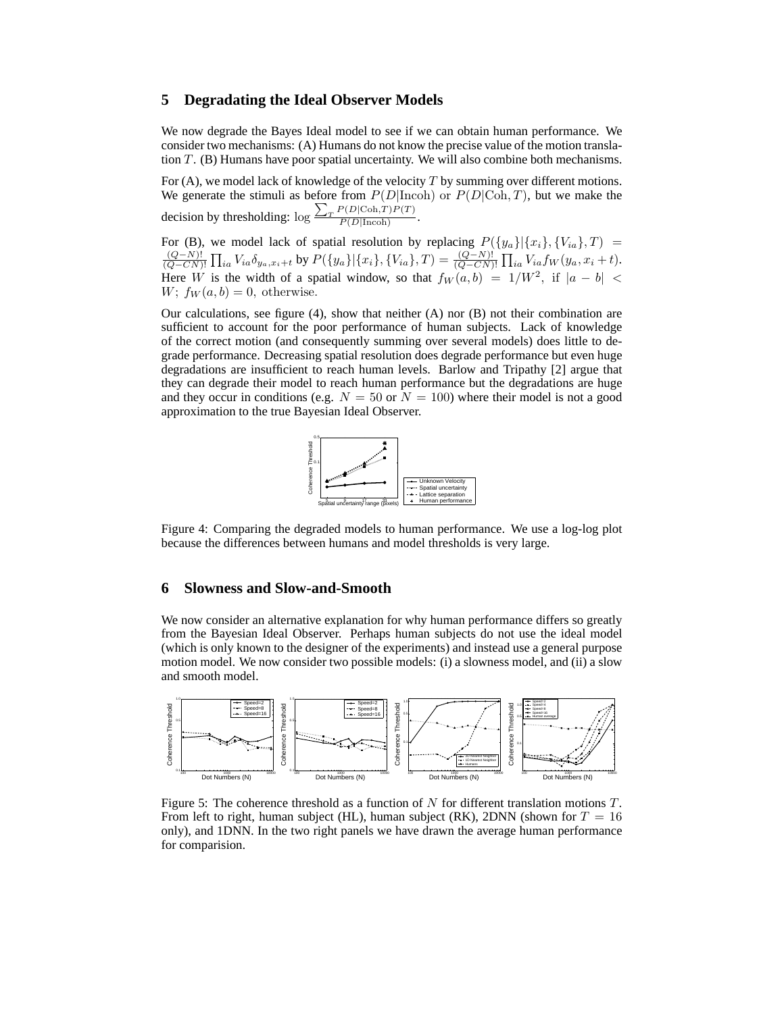#### **5 Degradating the Ideal Observer Models**

We now degrade the Bayes Ideal model to see if we can obtain human performance. We consider two mechanisms: (A) Humans do not know the precise value of the motion translation T. (B) Humans have poor spatial uncertainty. We will also combine both mechanisms.

For  $(A)$ , we model lack of knowledge of the velocity  $T$  by summing over different motions. We generate the stimuli as before from  $P(D|\text{Incoh})$  or  $P(D|\text{Coh},T)$ , but we make the decision by thresholding:  $\log \frac{\sum_{T} P(D | \text{Coh}, T) P(T)}{P(D | \text{Incoh})}$ .

For (B), we model lack of spatial resolution by replacing  $P({y_a}|\{x_i\}, {V_{ia}}\}) =$ <br>  $(Q-N)!$   $\Pi$   $V \in \mathcal{S}$  by  $P({y_a}|\{x_i\}, {V_{ia}}\})$   $T) = (Q-N)!$   $\Pi$   $V \in \mathcal{S}$   $(Q-N)!$  $\frac{(Q-N)!}{(Q-CN)!}$   $\prod_{ia} V_{ia} \delta_{y_a,x_i+t}$  by  $P({y_a}]{x_i}, \{V_{ia}\}, T) = \frac{(Q-N)!}{(Q-CN)!}$   $\prod_{ia} V_{ia} f_W(y_a, x_i+t)$ . Here W is the width of a spatial window, so that  $f_W(a, b) = 1/W^2$ , if  $|a - b| <$ W;  $f_W(a, b) = 0$ , otherwise.

Our calculations, see figure (4), show that neither (A) nor (B) not their combination are sufficient to account for the poor performance of human subjects. Lack of knowledge of the correct motion (and consequently summing over several models) does little to degrade performance. Decreasing spatial resolution does degrade performance but even huge degradations are insufficient to reach human levels. Barlow and Tripathy [2] argue that they can degrade their model to reach human performance but the degradations are huge and they occur in conditions (e.g.  $N = 50$  or  $N = 100$ ) where their model is not a good approximation to the true Bayesian Ideal Observer.



Figure 4: Comparing the degraded models to human performance. We use a log-log plot because the differences between humans and model thresholds is very large.

#### **6 Slowness and Slow-and-Smooth**

We now consider an alternative explanation for why human performance differs so greatly from the Bayesian Ideal Observer. Perhaps human subjects do not use the ideal model (which is only known to the designer of the experiments) and instead use a general purpose motion model. We now consider two possible models: (i) a slowness model, and (ii) a slow and smooth model.



Figure 5: The coherence threshold as a function of N for different translation motions T. From left to right, human subject (HL), human subject (RK), 2DNN (shown for  $T = 16$ only), and 1DNN. In the two right panels we have drawn the average human performance for comparision.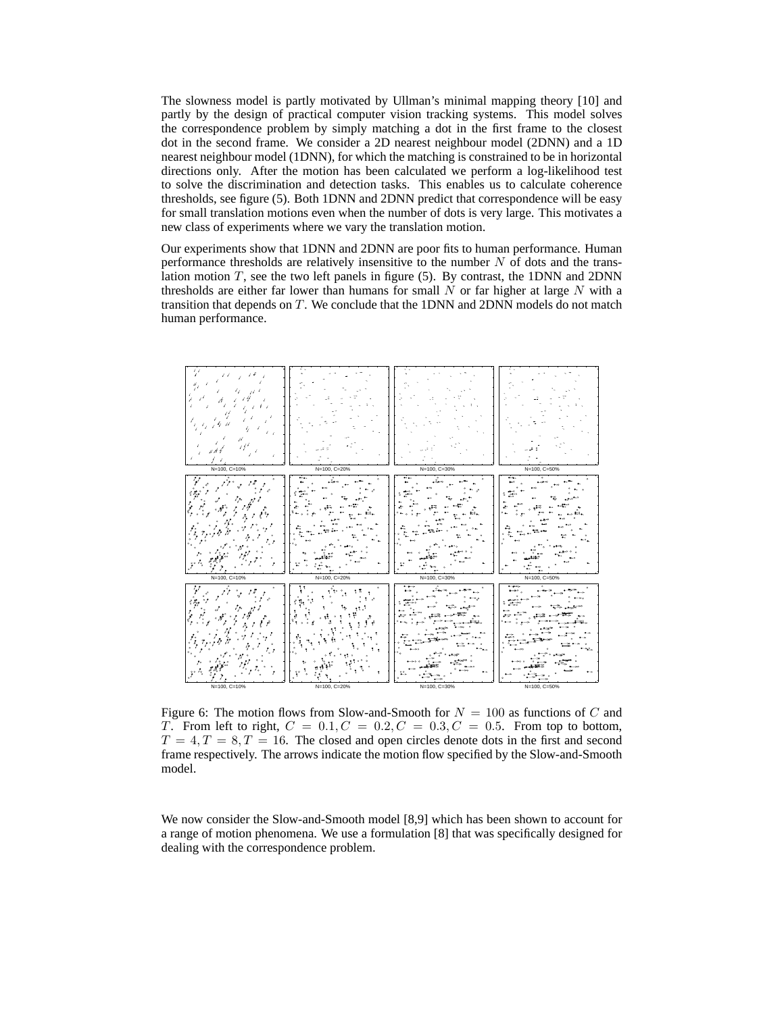The slowness model is partly motivated by Ullman's minimal mapping theory [10] and partly by the design of practical computer vision tracking systems. This model solves the correspondence problem by simply matching a dot in the first frame to the closest dot in the second frame. We consider a 2D nearest neighbour model (2DNN) and a 1D nearest neighbour model (1DNN), for which the matching is constrained to be in horizontal directions only. After the motion has been calculated we perform a log-likelihood test to solve the discrimination and detection tasks. This enables us to calculate coherence thresholds, see figure (5). Both 1DNN and 2DNN predict that correspondence will be easy for small translation motions even when the number of dots is very large. This motivates a new class of experiments where we vary the translation motion.

Our experiments show that 1DNN and 2DNN are poor fits to human performance. Human performance thresholds are relatively insensitive to the number  $N$  of dots and the translation motion T, see the two left panels in figure (5). By contrast, the 1DNN and 2DNN thresholds are either far lower than humans for small  $N$  or far higher at large  $N$  with a transition that depends on T. We conclude that the 1DNN and 2DNN models do not match human performance.



Figure 6: The motion flows from Slow-and-Smooth for  $N = 100$  as functions of C and T. From left to right,  $C = 0.1, C = 0.2, C = 0.3, C = 0.5$ . From top to bottom,  $T = 4, T = 8, T = 16$ . The closed and open circles denote dots in the first and second frame respectively. The arrows indicate the motion flow specified by the Slow-and-Smooth model.

We now consider the Slow-and-Smooth model [8,9] which has been shown to account for a range of motion phenomena. We use a formulation [8] that was specifically designed for dealing with the correspondence problem.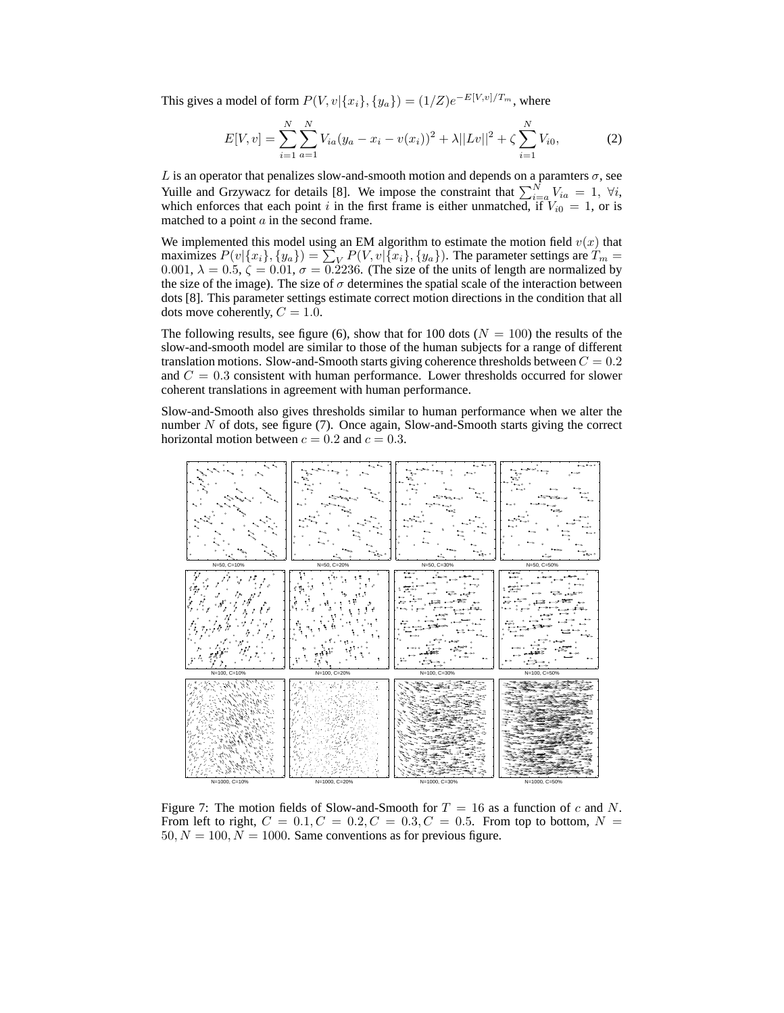This gives a model of form  $P(V, v | \{x_i\}, \{y_a\}) = (1/Z)e^{-E[V, v]/T_m}$ , where

$$
E[V, v] = \sum_{i=1}^{N} \sum_{a=1}^{N} V_{ia}(y_a - x_i - v(x_i))^2 + \lambda ||Lv||^2 + \zeta \sum_{i=1}^{N} V_{i0},
$$
 (2)

L is an operator that penalizes slow-and-smooth motion and depends on a paramters  $\sigma$ , see Yuille and Grzywacz for details [8]. We impose the constraint that  $\sum_{i=a}^{N} V_{ia} = 1, \forall i$ , which enforces that each point i in the first frame is either unmatched, if  $V_{i0} = 1$ , or is matched to a point  $a$  in the second frame.

We implemented this model using an EM algorithm to estimate the motion field  $v(x)$  that maximizes  $P(v|\{x_i\}, \{y_a\}) = \sum_V P(V, v|\{x_i\}, \{y_a\})$ . The parameter settings are  $T_m = 0.001$ ,  $\lambda = 0.5$ ,  $\zeta = 0.01$ ,  $\sigma = 0.2236$ . (The size of the units of length are normalized by the size of the image). The size of  $\sigma$  determines the spatial scale of the interaction between dots [8]. This parameter settings estimate correct motion directions in the condition that all dots move coherently,  $C = 1.0$ .

The following results, see figure (6), show that for 100 dots ( $N = 100$ ) the results of the slow-and-smooth model are similar to those of the human subjects for a range of different translation motions. Slow-and-Smooth starts giving coherence thresholds between  $C = 0.2$ and  $C = 0.3$  consistent with human performance. Lower thresholds occurred for slower coherent translations in agreement with human performance.

Slow-and-Smooth also gives thresholds similar to human performance when we alter the number  $N$  of dots, see figure (7). Once again, Slow-and-Smooth starts giving the correct horizontal motion between  $c = 0.2$  and  $c = 0.3$ .



Figure 7: The motion fields of Slow-and-Smooth for  $T = 16$  as a function of c and N. From left to right,  $C = 0.1, C = 0.2, C = 0.3, C = 0.5$ . From top to bottom,  $N =$  $50, N = 100, N = 1000$ . Same conventions as for previous figure.